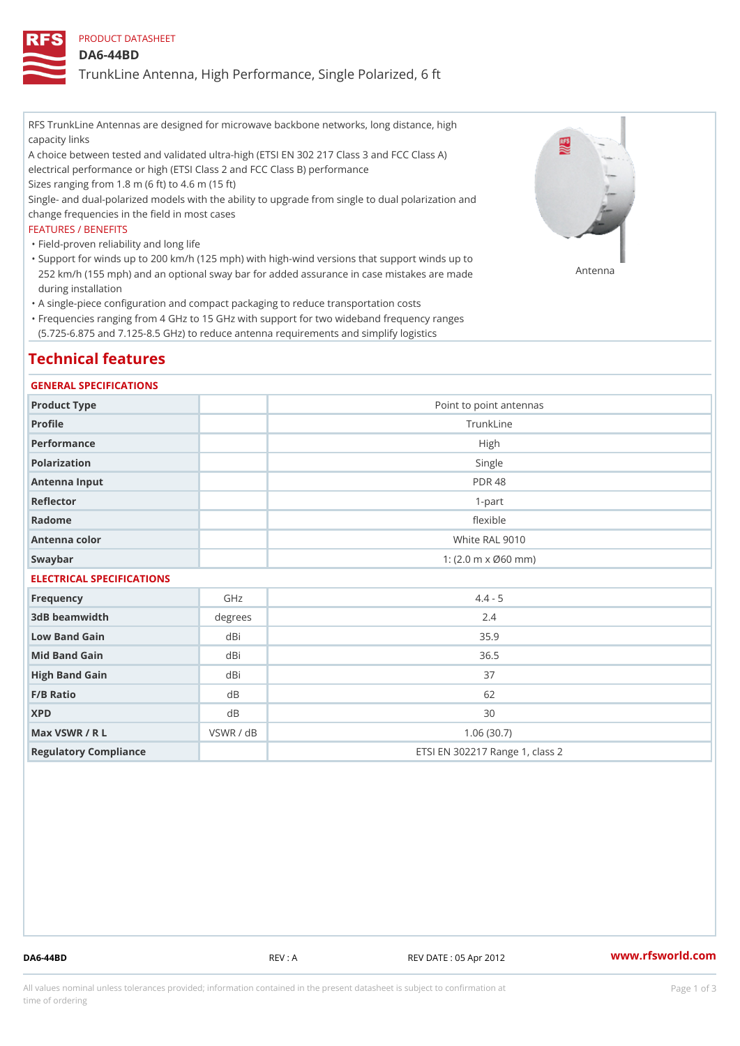# PRODUCT DATASHEET

## DA6-44BD

TrunkLine Antenna, High Performance, Single Polarized, 6 ft

RFS TrunkLine Antennas are designed for microwave backbone networks, long distance, high capacity links

A choice between tested and validated ultra-high (ETSI EN 302 217 Class 3 and FCC Class A) electrical performance or high (ETSI Class 2 and FCC Class B) performance

Sizes ranging from 1.8 m (6 ft) to 4.6 m (15 ft)

Single- and dual-polarized models with the ability to upgrade from single to dual polarization and change frequencies in the field in most cases

#### FEATURES / BENEFITS

"Field-proven reliability and long life

- Support for winds up to 200 km/h (125 mph) with high-wind versions that support winds up to " 252 km/h (155 mph) and an optional sway bar for added assurance in case m S # \$ R & B are made during installation
- "A single-piece configuration and compact packaging to reduce transportation costs
- Frequencies ranging from 4 GHz to 15 GHz with support for two wideband frequency ranges " (5.725-6.875 and 7.125-8.5 GHz) to reduce antenna requirements and simplify logistics

# Technical features

#### GENERAL SPECIFICATIONS

| Product Type  | Point to point antennas                                 |  |  |  |
|---------------|---------------------------------------------------------|--|--|--|
| Profile       | TrunkLine                                               |  |  |  |
| Performance   | High                                                    |  |  |  |
| Polarization  | Single                                                  |  |  |  |
| Antenna Input | <b>PDR 48</b>                                           |  |  |  |
| Reflector     | $1-part$                                                |  |  |  |
| Radome        | flexible                                                |  |  |  |
| Antenna color | White RAL 9010                                          |  |  |  |
| Swaybar       | 1: $(2.0 \, \text{m} \times \emptyset 60 \, \text{mm})$ |  |  |  |
|               |                                                         |  |  |  |

## ELECTRICAL SPECIFICATIONS

| Frequency             | GHz       | $4.4 - 5$                       |
|-----------------------|-----------|---------------------------------|
| 3dB beamwidth         | degree    | 2.4                             |
| Low Band Gain         | dBi       | 35.9                            |
| Mid Band Gain         | dBi       | 36.5                            |
| High Band Gain        | dBi       | 37                              |
| $F/B$ Ratio           | d B       | 62                              |
| <b>XPD</b>            | d B       | 30                              |
| Max VSWR / R L        | VSWR / dB | 1.06(30.7)                      |
| Regulatory Compliance |           | ETSI EN 302217 Range 1, class 2 |

DA6-44BD REV : A REV DATE : 05 Apr 2012 [www.](https://www.rfsworld.com)rfsworld.com

All values nominal unless tolerances provided; information contained in the present datasheet is subject to Pcapgeign mation time of ordering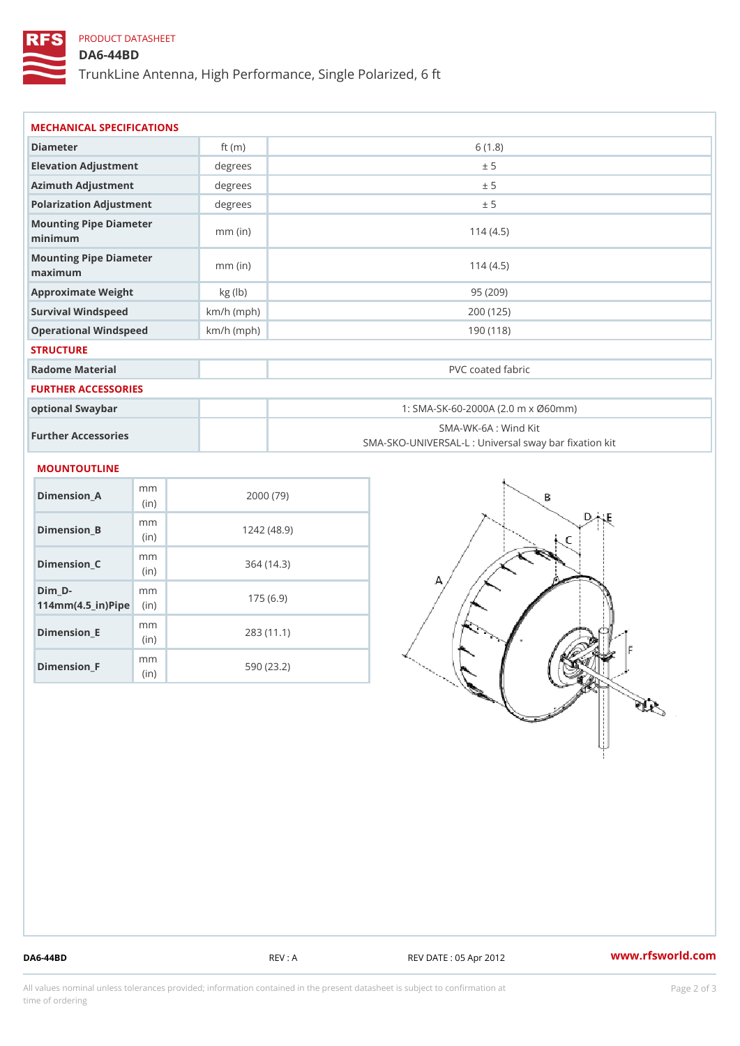# PRODUCT DATASHEET

# DA6-44BD

TrunkLine Antenna, High Performance, Single Polarized, 6 ft

| MECHANICAL SPECIFICATIONS                  |                |              |                                    |                                                   |
|--------------------------------------------|----------------|--------------|------------------------------------|---------------------------------------------------|
| Diameter                                   |                | ft $(m)$     | 6(1.8)                             |                                                   |
| Elevation Adjustment                       |                | degree:      | ± 5                                |                                                   |
| Azimuth Adjustment                         |                | degrees      | ± 5                                |                                                   |
| Polarization Adjustment                    |                | degrees      | ± 5                                |                                                   |
| Mounting Pipe Diameter<br>minimum          |                | $mm$ (in)    | 114(4.5)                           |                                                   |
| Mounting Pipe Diameter<br>maximum          |                | $mm$ (in)    | 114(4.5)                           |                                                   |
| Approximate Weight                         |                | kg (lb)      | 95(209)                            |                                                   |
| Survival Windspeed                         |                | $km/h$ (mph) | 200 (125)                          |                                                   |
| Operational Windspeed                      |                | $km/h$ (mph) | 190 (118)                          |                                                   |
| <b>STRUCTURE</b>                           |                |              |                                    |                                                   |
| Radome Material                            |                |              | PVC coated fabric                  |                                                   |
| FURTHER ACCESSORIES                        |                |              |                                    |                                                   |
| optional Swaybar                           |                |              | 1: SMA-SK-60-2000A (2.0 m x Ø60mm) |                                                   |
| Further Accessories                        |                |              | SMA-WK-6A : Wind Kit               | SMA-SKO-UNIVERSAL-L : Universal sway bar fixation |
| MOUNTOUTLINE                               |                |              |                                    |                                                   |
| $Dimension_A$                              | m m<br>(in)    |              | 2000(79)                           |                                                   |
| $Dimension_B$                              | m m<br>(in)    |              | 1242(48.9)                         |                                                   |
| $Dimension_C$                              | m m<br>(in     |              | 364(14.3)                          |                                                   |
| $Dim_D - D -$<br>$114mm(4.5_{ir})$ $R^{i}$ | m <sub>m</sub> |              | 175(6.9)                           |                                                   |

Dimension\_E

Dimension\_F

mm (in)

m<sub>m</sub> (in)

283 (11.1)

590 (23.2)

DA6-44BD REV : A REV DATE : 05 Apr 2012 [www.](https://www.rfsworld.com)rfsworld.com